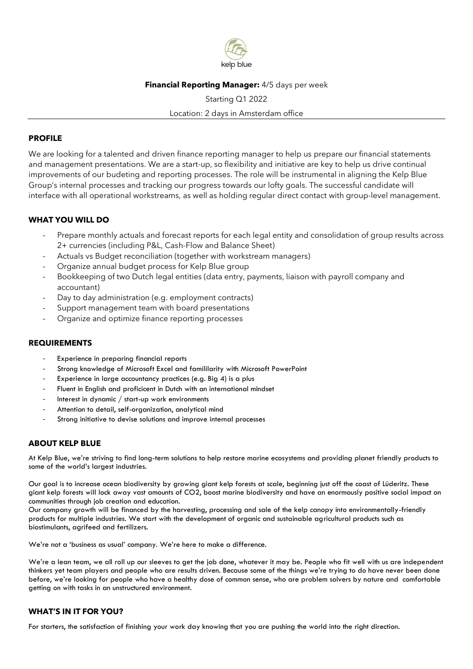

## **Financial Reporting Manager:** 4/5 days per week

Starting Q1 2022 Location: 2 days in Amsterdam office

#### **PROFILE**

We are looking for a talented and driven finance reporting manager to help us prepare our financial statements and management presentations. We are a start-up, so flexibility and initiative are key to help us drive continual improvements of our budeting and reporting processes. The role will be instrumental in aligning the Kelp Blue Group's internal processes and tracking our progress towards our lofty goals. The successful candidate will interface with all operational workstreams, as well as holding regular direct contact with group-level management.

### **WHAT YOU WILL DO**

- Prepare monthly actuals and forecast reports for each legal entity and consolidation of group results across 2+ currencies (including P&L, Cash-Flow and Balance Sheet)
- Actuals vs Budget reconciliation (together with workstream managers)
- Organize annual budget process for Kelp Blue group
- Bookkeeping of two Dutch legal entities (data entry, payments, liaison with payroll company and accountant)
- Day to day administration (e.g. employment contracts)
- Support management team with board presentations
- Organize and optimize finance reporting processes

### **REQUIREMENTS**

- Experience in preparing financial reports
- Strong knowledge of Microsoft Excel and famililarity with Microsoft PowerPoint
- Experience in large accountancy practices (e.g. Big 4) is a plus
- Fluent in English and proficicent in Dutch with an international mindset
- Interest in dynamic / start-up work environments
- Attention to detail, self-organization, analytical mind
- Strong initiative to devise solutions and improve internal processes

### **ABOUT KELP BLUE**

At Kelp Blue, we're striving to find long-term solutions to help restore marine ecosystems and providing planet friendly products to some of the world's largest industries.

Our goal is to increase ocean biodiversity by growing giant kelp forests at scale, beginning just off the coast of Lüderitz. These giant kelp forests will lock away vast amounts of CO2, boost marine biodiversity and have an enormously positive social impact on communities through job creation and education.

Our company growth will be financed by the harvesting, processing and sale of the kelp canopy into environmentally-friendly products for multiple industries. We start with the development of organic and sustainable agricultural products such as biostimulants, agrifeed and fertilizers.

We're not a 'business as usual' company. We're here to make a difference.

We're a lean team, we all roll up our sleeves to get the job done, whatever it may be. People who fit well with us are independent thinkers yet team players and people who are results driven. Because some of the things we're trying to do have never been done before, we're looking for people who have a healthy dose of common sense, who are problem solvers by nature and comfortable getting on with tasks in an unstructured environment.

#### **WHAT'S IN IT FOR YOU?**

For starters, the satisfaction of finishing your work day knowing that you are pushing the world into the right direction.